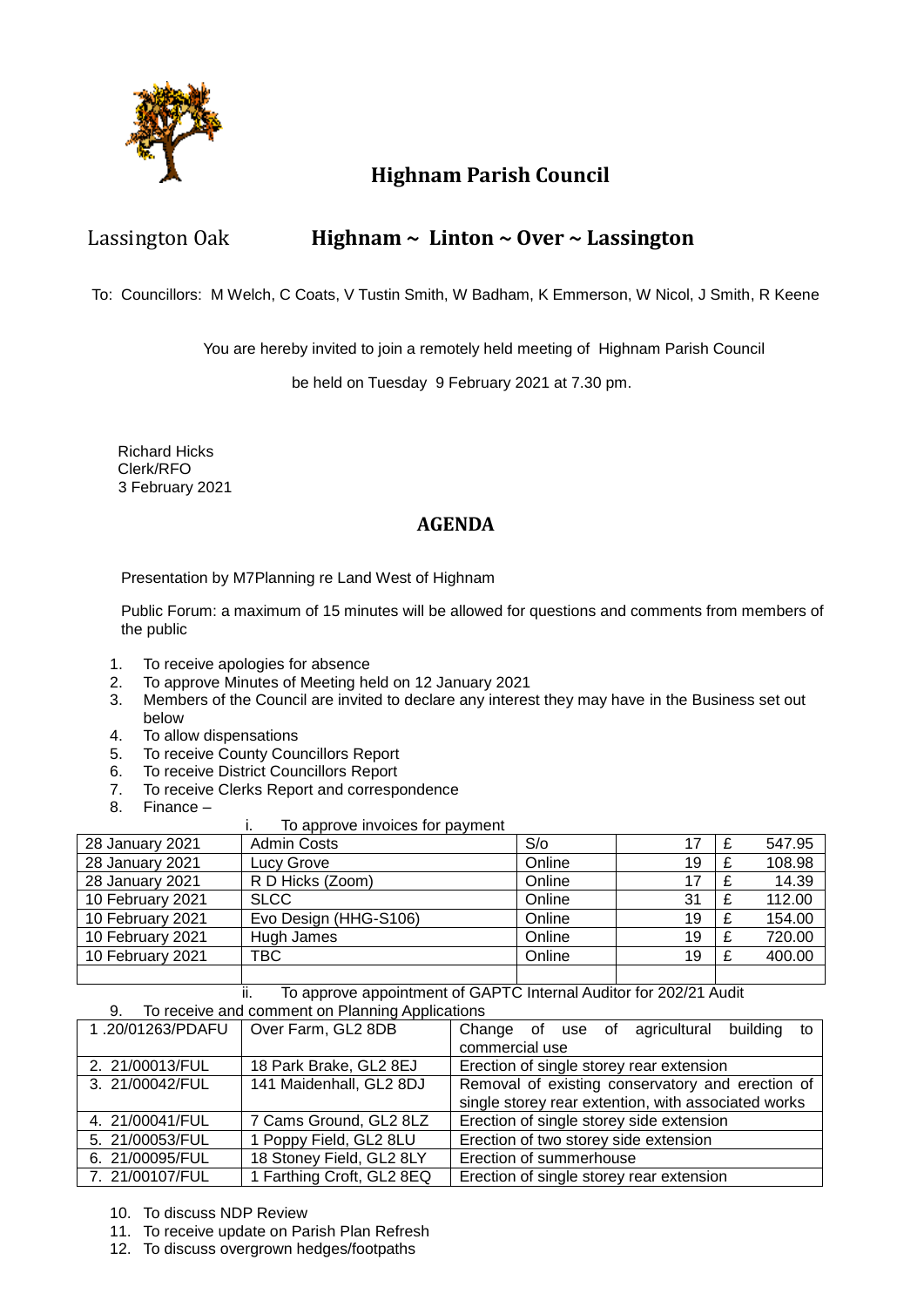

## **Highnam Parish Council**

## Lassington Oak **Highnam ~ Linton ~ Over ~ Lassington**

To: Councillors: M Welch, C Coats, V Tustin Smith, W Badham, K Emmerson, W Nicol, J Smith, R Keene

You are hereby invited to join a remotely held meeting of Highnam Parish Council

be held on Tuesday 9 February 2021 at 7.30 pm.

 Richard Hicks Clerk/RFO 3 February 2021

## **AGENDA**

Presentation by M7Planning re Land West of Highnam

Public Forum: a maximum of 15 minutes will be allowed for questions and comments from members of the public

- 1. To receive apologies for absence
- 2. To approve Minutes of Meeting held on 12 January 2021
- 3. Members of the Council are invited to declare any interest they may have in the Business set out below
- 4. To allow dispensations
- 5. To receive County Councillors Report
- 6. To receive District Councillors Report
- 7. To receive Clerks Report and correspondence
- 8. Finance –

#### i. To approve invoices for payment

| 28 January 2021  | <b>Admin Costs</b>    | S/O    |    | 547.95 |
|------------------|-----------------------|--------|----|--------|
| 28 January 2021  | Lucy Grove            | Online | 19 | 108.98 |
| 28 January 2021  | R D Hicks (Zoom)      | Online | 17 | 14.39  |
| 10 February 2021 | <b>SLCC</b>           | Online | 31 | 112.00 |
| 10 February 2021 | Evo Design (HHG-S106) | Online | 19 | 154.00 |
| 10 February 2021 | Hugh James            | Online | 19 | 720.00 |
| 10 February 2021 | TBC.                  | Online | 19 | 400.00 |
|                  |                       |        |    |        |

#### ii. To approve appointment of GAPTC Internal Auditor for 202/21 Audit 9. To receive and comment on Planning Applications

| 1.20/01263/PDAFU | Over Farm, GL2 8DB        | Change of use of agricultural<br>building<br>to     |  |  |  |
|------------------|---------------------------|-----------------------------------------------------|--|--|--|
|                  |                           | commercial use                                      |  |  |  |
| 2. 21/00013/FUL  | 18 Park Brake, GL2 8EJ    | Erection of single storey rear extension            |  |  |  |
| 3. 21/00042/FUL  | 141 Maidenhall, GL2 8DJ   | Removal of existing conservatory and erection of    |  |  |  |
|                  |                           | single storey rear extention, with associated works |  |  |  |
| 4. 21/00041/FUL  | 7 Cams Ground, GL2 8LZ    | Erection of single storey side extension            |  |  |  |
| 5. 21/00053/FUL  | 1 Poppy Field, GL2 8LU    | Erection of two storey side extension               |  |  |  |
| 6. 21/00095/FUL  | 18 Stoney Field, GL2 8LY  | Erection of summerhouse                             |  |  |  |
| 7. 21/00107/FUL  | 1 Farthing Croft, GL2 8EQ | Erection of single storey rear extension            |  |  |  |

- 10. To discuss NDP Review
- 11. To receive update on Parish Plan Refresh
- 12. To discuss overgrown hedges/footpaths